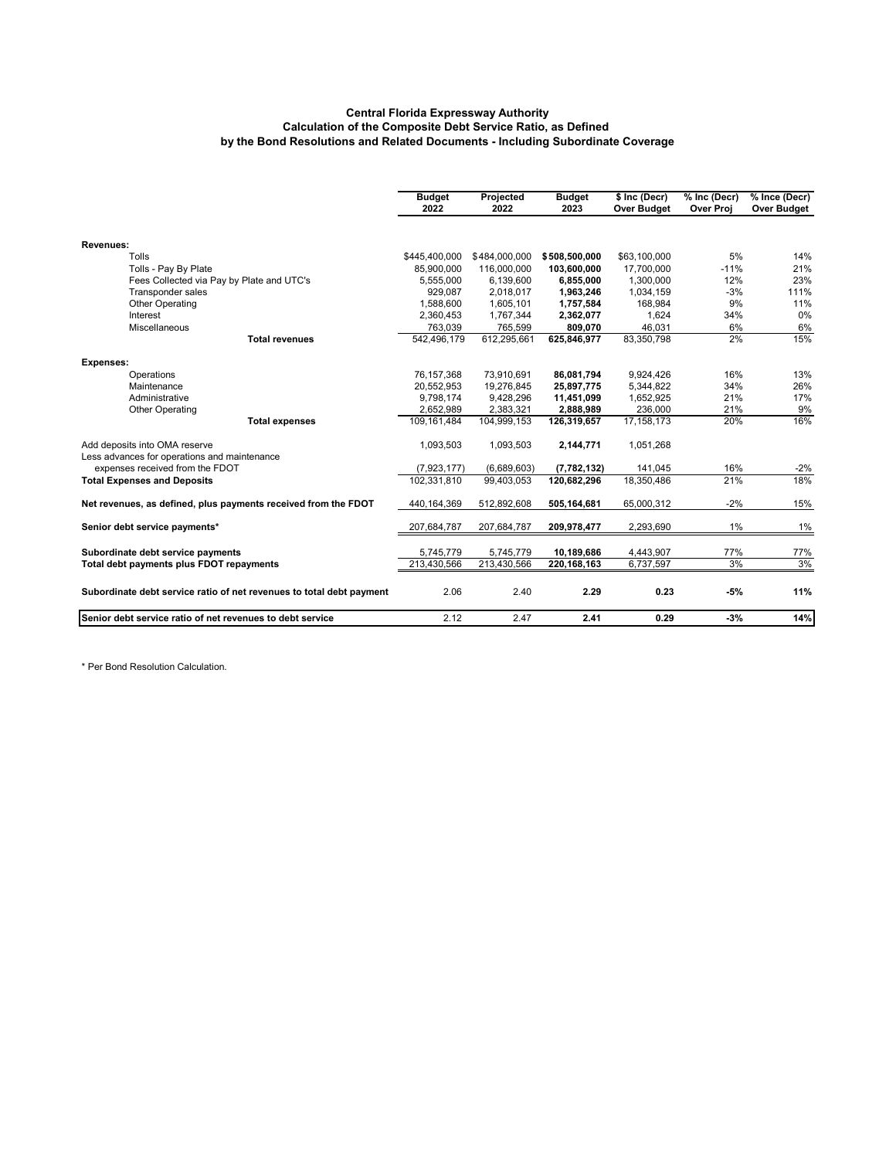#### **Central Florida Expressway Authority Calculation of the Composite Debt Service Ratio, as Defined by the Bond Resolutions and Related Documents - Including Subordinate Coverage**

|                                                                               | <b>Budget</b><br>2022 | Projected<br>2022 | <b>Budget</b><br>2023 | \$ Inc (Decr)<br>Over Budget | % Inc (Decr)<br><b>Over Proj</b> | % Ince (Decr)<br>Over Budget |
|-------------------------------------------------------------------------------|-----------------------|-------------------|-----------------------|------------------------------|----------------------------------|------------------------------|
|                                                                               |                       |                   |                       |                              |                                  |                              |
| Revenues:                                                                     |                       |                   |                       |                              |                                  |                              |
| Tolls                                                                         | \$445,400,000         | \$484,000,000     | \$508,500,000         | \$63,100,000                 | 5%                               | 14%                          |
| Tolls - Pay By Plate                                                          | 85.900.000            | 116,000,000       | 103,600,000           | 17.700.000                   | $-11%$                           | 21%                          |
| Fees Collected via Pay by Plate and UTC's                                     | 5,555,000             | 6,139,600         | 6,855,000             | 1,300,000                    | 12%                              | 23%                          |
| Transponder sales                                                             | 929,087               | 2,018,017         | 1,963,246             | 1,034,159                    | $-3%$                            | 111%                         |
| <b>Other Operating</b>                                                        | 1,588,600             | 1,605,101         | 1,757,584             | 168,984                      | 9%                               | 11%                          |
| Interest                                                                      | 2,360,453             | 1,767,344         | 2,362,077             | 1,624                        | 34%                              | 0%                           |
| Miscellaneous                                                                 | 763,039               | 765.599           | 809,070               | 46,031                       | 6%                               | 6%                           |
| <b>Total revenues</b>                                                         | 542,496,179           | 612,295,661       | 625,846,977           | 83,350,798                   | 2%                               | 15%                          |
| <b>Expenses:</b>                                                              |                       |                   |                       |                              |                                  |                              |
| Operations                                                                    | 76,157,368            | 73,910,691        | 86,081,794            | 9.924.426                    | 16%                              | 13%                          |
| Maintenance                                                                   | 20,552,953            | 19,276,845        | 25,897,775            | 5,344,822                    | 34%                              | 26%                          |
| Administrative                                                                | 9,798,174             | 9,428,296         | 11,451,099            | 1,652,925                    | 21%                              | 17%                          |
| <b>Other Operating</b>                                                        | 2,652,989             | 2,383,321         | 2,888,989             | 236,000                      | 21%                              | 9%                           |
| <b>Total expenses</b>                                                         | 109,161,484           | 104,999,153       | 126,319,657           | 17, 158, 173                 | 20%                              | 16%                          |
| Add deposits into OMA reserve<br>Less advances for operations and maintenance | 1,093,503             | 1,093,503         | 2,144,771             | 1,051,268                    |                                  |                              |
| expenses received from the FDOT                                               | (7,923,177)           | (6,689,603)       | (7, 782, 132)         | 141.045                      | 16%                              | $-2%$                        |
| <b>Total Expenses and Deposits</b>                                            | 102.331.810           | 99.403.053        | 120.682.296           | 18.350.486                   | 21%                              | 18%                          |
| Net revenues, as defined, plus payments received from the FDOT                | 440,164,369           | 512,892,608       | 505,164,681           | 65,000,312                   | $-2%$                            | 15%                          |
| Senior debt service payments*                                                 | 207,684,787           | 207,684,787       | 209,978,477           | 2,293,690                    | $1\%$                            | 1%                           |
| Subordinate debt service payments                                             | 5,745,779             | 5,745,779         | 10,189,686            | 4,443,907                    | 77%                              | 77%                          |
| Total debt payments plus FDOT repayments                                      | 213,430,566           | 213,430,566       | 220, 168, 163         | 6,737,597                    | 3%                               | 3%                           |
| Subordinate debt service ratio of net revenues to total debt payment          | 2.06                  | 2.40              | 2.29                  | 0.23                         | $-5%$                            | 11%                          |
| Senior debt service ratio of net revenues to debt service                     | 2.12                  | 2.47              | 2.41                  | 0.29                         | $-3%$                            | 14%                          |

\* Per Bond Resolution Calculation.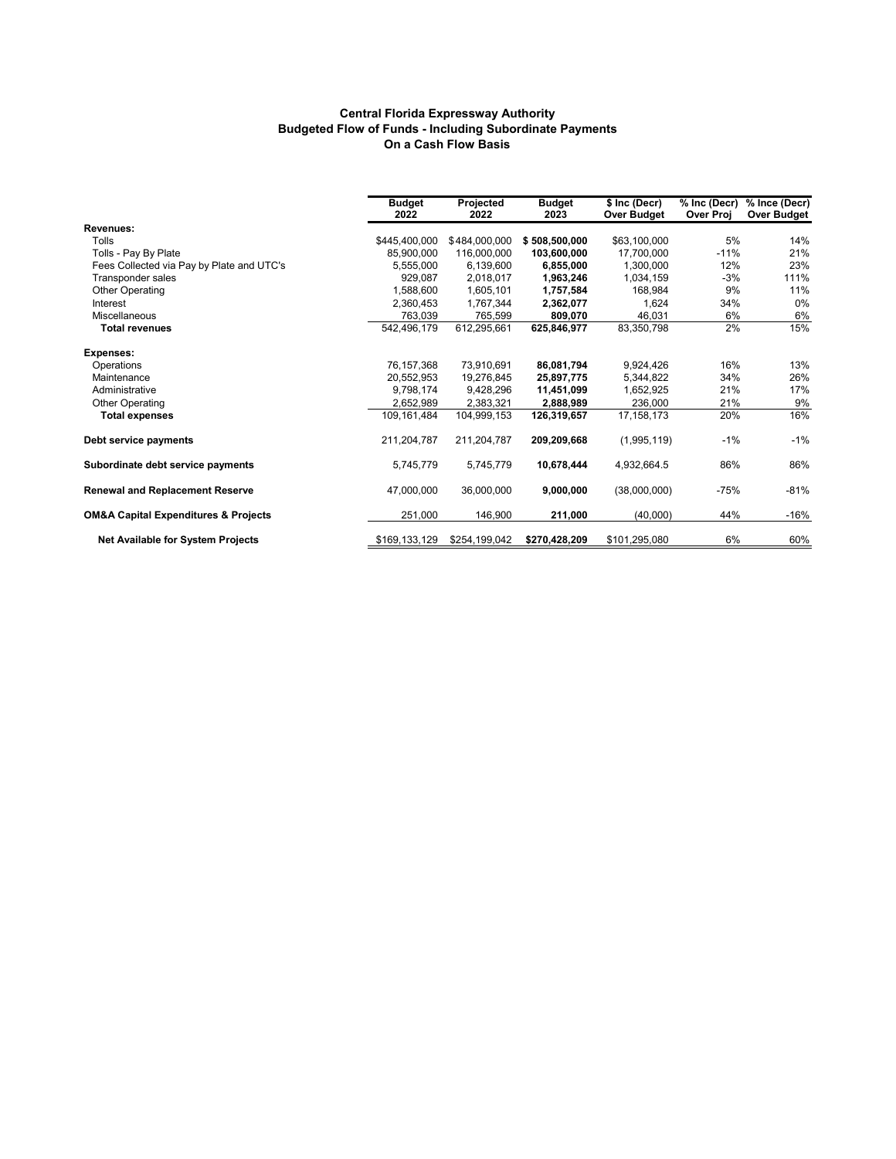#### **Central Florida Expressway Authority Budgeted Flow of Funds - Including Subordinate Payments On a Cash Flow Basis**

|                                                     | <b>Budget</b><br>2022 | Projected<br>2022 | <b>Budget</b><br>2023 | \$ Inc (Decr)<br><b>Over Budget</b> | % Inc (Decr)<br>Over Proj | % Ince (Decr)<br><b>Over Budget</b> |
|-----------------------------------------------------|-----------------------|-------------------|-----------------------|-------------------------------------|---------------------------|-------------------------------------|
| <b>Revenues:</b>                                    |                       |                   |                       |                                     |                           |                                     |
| Tolls                                               | \$445,400,000         | \$484,000,000     | \$508,500,000         | \$63,100,000                        | 5%                        | 14%                                 |
| Tolls - Pay By Plate                                | 85.900.000            | 116,000,000       | 103,600,000           | 17.700.000                          | $-11%$                    | 21%                                 |
| Fees Collected via Pay by Plate and UTC's           | 5,555,000             | 6,139,600         | 6,855,000             | 1,300,000                           | 12%                       | 23%                                 |
| Transponder sales                                   | 929.087               | 2.018.017         | 1,963,246             | 1,034,159                           | $-3%$                     | 111%                                |
| Other Operating                                     | 1,588,600             | 1,605,101         | 1,757,584             | 168.984                             | 9%                        | 11%                                 |
| Interest                                            | 2,360,453             | 1,767,344         | 2,362,077             | 1,624                               | 34%                       | 0%                                  |
| Miscellaneous                                       | 763,039               | 765.599           | 809.070               | 46.031                              | 6%                        | 6%                                  |
| <b>Total revenues</b>                               | 542,496,179           | 612.295.661       | 625.846.977           | 83,350,798                          | 2%                        | 15%                                 |
| Expenses:                                           |                       |                   |                       |                                     |                           |                                     |
| Operations                                          | 76,157,368            | 73,910,691        | 86,081,794            | 9,924,426                           | 16%                       | 13%                                 |
| Maintenance                                         | 20.552.953            | 19,276,845        | 25,897,775            | 5.344.822                           | 34%                       | 26%                                 |
| Administrative                                      | 9.798.174             | 9.428.296         | 11,451,099            | 1.652.925                           | 21%                       | 17%                                 |
| Other Operating                                     | 2,652,989             | 2,383,321         | 2,888,989             | 236,000                             | 21%                       | 9%                                  |
| <b>Total expenses</b>                               | 109.161.484           | 104,999,153       | 126,319,657           | 17.158.173                          | 20%                       | 16%                                 |
| Debt service payments                               | 211,204,787           | 211,204,787       | 209,209,668           | (1,995,119)                         | $-1%$                     | $-1%$                               |
| Subordinate debt service payments                   | 5,745,779             | 5.745.779         | 10,678,444            | 4,932,664.5                         | 86%                       | 86%                                 |
| <b>Renewal and Replacement Reserve</b>              | 47,000,000            | 36,000,000        | 9,000,000             | (38,000,000)                        | $-75%$                    | $-81%$                              |
| <b>OM&amp;A Capital Expenditures &amp; Projects</b> | 251,000               | 146,900           | 211,000               | (40,000)                            | 44%                       | $-16%$                              |
| Net Available for System Projects                   | \$169,133,129         | \$254,199,042     | \$270,428,209         | \$101,295,080                       | 6%                        | 60%                                 |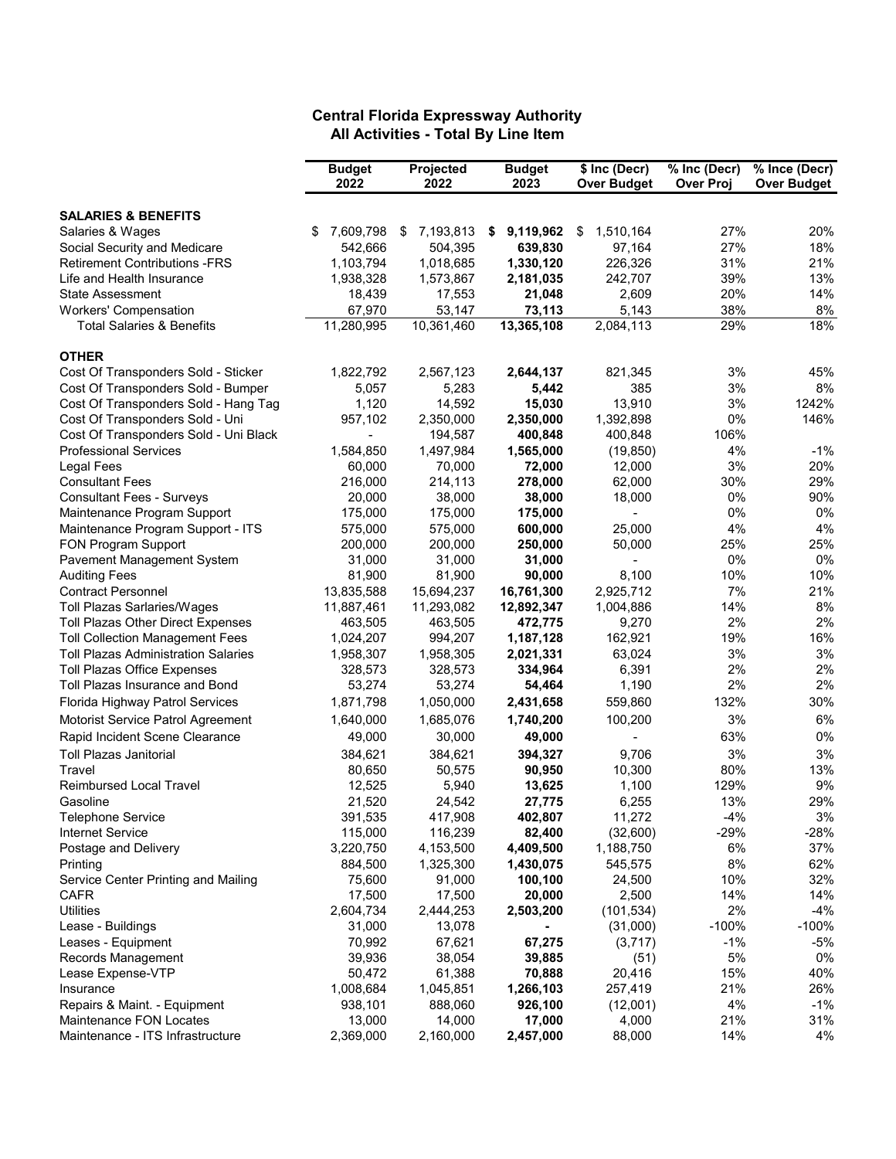### **Budget Projected Budget \$ Inc (Decr) % Inc (Decr) % Ince (Decr) 2022 2022 2023 Over Budget Over Proj Over Budget SALARIES & BENEFITS** Salaries & Wages \$ 7,609,798 \$ 7,193,813 **\$ 9,119,962** \$ 1,510,164 27% 20% Social Security and Medicare 542,666 504,395 **639,830** 97,164 27% 18% Retirement Contributions -FRS 1,103,794 1,018,685 **1,330,120** 226,326 31% 21% Life and Health Insurance 1,938,328 1,573,867 **2,181,035** 242,707 39% 13% State Assessment 18,439 17,553 **21,048** 2,609 20% 14% Workers' Compensation <br>
Total Salaries & Benefits **11,280,995** 10,361,460 **13,365,108** 2,084,113 29% 18% **Total Salaries & Benefits OTHER** Cost Of Transponders Sold - Sticker 1,822,792 2,567,123 **2,644,137** 821,345 3% 45% 45%<br>Cost Of Transponders Sold - Bumper 5.057 5.283 5.442 385 3% 8% Cost Of Transponders Sold - Bumper 5,057 5,283 **5,442** 385 3% 8% Cost Of Transponders Sold - Hang Tag 1,120 14,592 **15,030** 13,910 3% 1242% Cost Of Transponders Sold - Uni 957,102 2,350,000 2,350,000 1,392,898 0% 1<br>Cost Of Transponders Sold - Uni Black 196% 194,587 **400,848** 400,848 106% Cost Of Transponders Sold - Uni Black **- 194,587** Professional Services 1,584,850 1,497,984 **1,565,000** (19,850) 4% -1% Legal Fees 60,000 70,000 **72,000** 12,000 3% 20% Consultant Fees 216,000 214,113 **278,000** 62,000 30% 29% Consultant Fees - Surveys 20,000 38,000 **38,000** 18,000 0% 90% Maintenance Program Support 175,000 175,000 **175,000** - 0% 0% Maintenance Program Support - ITS 575,000 575,000 **600,000** 25,000 4% 4% FON Program Support 200,000 200,000 **250,000** 50,000 25% 25% Pavement Management System 31,000 31,000 **31,000** - 0% 0% Auditing Fees 81,900 81,900 **90,000** 8,100 10% 10% Contract Personnel 13,835,588 15,694,237 **16,761,300** 2,925,712 7% 21% Toll Plazas Sarlaries/Wages 11,887,461 11,293,082 **12,892,347** 1,004,886 14% 8% Toll Plazas Other Direct Expenses 463,505 463,505 **472,775** 9,270 2% 2% **Toll Collection Management Fees** Toll Plazas Administration Salaries 1,958,307 1,958,305 **2,021,331** 63,024 3% 3% Toll Plazas Office Expenses 328,573 328,573 **334,964** 6,391 2% 2% Toll Plazas Insurance and Bond **53,274** 53,274 54,464 1,190 Florida Highway Patrol Services 1,871,798 1,050,000 **2,431,658** 559,860 132% 30% Motorist Service Patrol Agreement 1,640,000 1,685,076 1,7**40,200** 100,200 3% 6%<br>Rapid Incident Scene Clearance 19,000 30,000 19,000 19,000 100,200 53% 0% Rapid Incident Scene Clearance **49,000** 49,000 49,000 49,000 **49,000** Toll Plazas Janitorial 384,621 384,621 **394,327** 9,706 3% 3% Travel 80,650 50,575 **90,950** 10,300 80% 13% Reimbursed Local Travel 12,525 5,940 **13,625** 1,100 129% 9% Gasoline 21,520 24,542 **27,775** 6,255 13% 29% Telephone Service 391,535 417,908 **402,807** 11,272 -4% 3% Internet Service 115,000 116,239 **82,400** (32,600) -29% -28% Postage and Delivery **3,220,750** 5,220,750 4,153,500 4,409,500 1,188,750 6% 37% 37%<br>Printing 884,500 1,325,300 1,430,075 545,575 8% 62% Printing 884,500 1,325,300 **1,430,075** 545,575 8% 62% Service Center Printing and Mailing 75,600 91,000 **100,100** 24,500 10% 32% CAFR 17,500 17,500 **20,000** 2,500 14% 14% Utilities 2,604,734 2,444,253 **2,503,200** (101,534) 2% -4% Lease - Buildings 31,000 13,078 **-** (31,000) -100% -100% Leases - Equipment 70,992 67,621 **67,275** (3,717) -1% -5% Records Management 39,936 38,054 **39,885** (51) 5% 0% Lease Expense-VTP 50,472 61,388 **70,888** 20,416 15% 40% Insurance 1,008,684 1,045,851 **1,266,103** 257,419 21% 26% Repairs & Maint. - Equipment 938,101 888,060 **926,100** (12,001) 4% -1% Maintenance FON Locates 13,000 14,000 **17,000** 4,000 21% 31%

Maintenance - ITS Infrastructure 2,369,000 2,160,000 **2,457,000** 88,000 14% 4%

## **Central Florida Expressway Authority All Activities - Total By Line Item**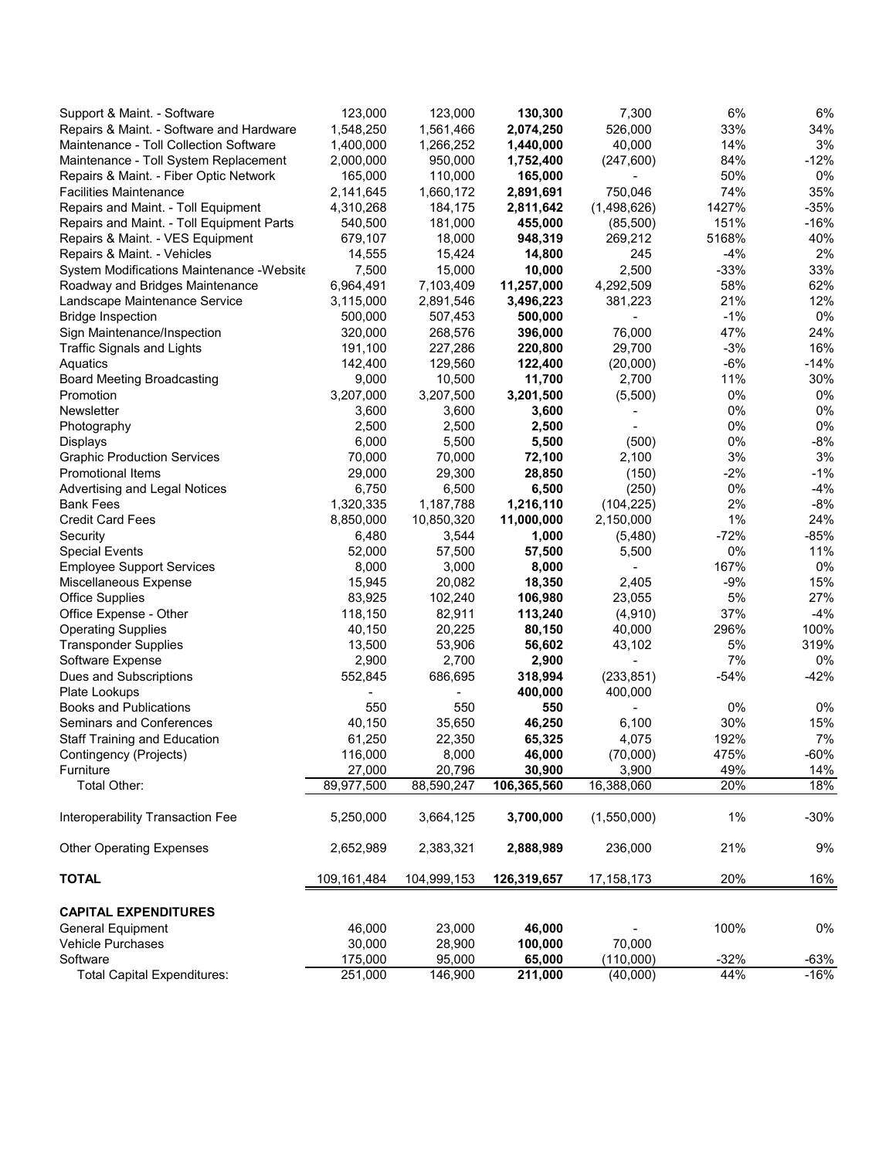| Support & Maint. - Software                | 123,000           | 123,000         | 130,300          | 7,300             | 6%           | 6%        |
|--------------------------------------------|-------------------|-----------------|------------------|-------------------|--------------|-----------|
| Repairs & Maint. - Software and Hardware   | 1,548,250         | 1,561,466       | 2,074,250        | 526,000           | 33%          | 34%       |
| Maintenance - Toll Collection Software     | 1,400,000         | 1,266,252       | 1,440,000        | 40,000            | 14%          | 3%        |
| Maintenance - Toll System Replacement      | 2,000,000         | 950,000         | 1,752,400        | (247, 600)        | 84%          | $-12%$    |
| Repairs & Maint. - Fiber Optic Network     | 165,000           | 110,000         | 165,000          |                   | 50%          | 0%        |
| <b>Facilities Maintenance</b>              | 2,141,645         | 1,660,172       | 2,891,691        | 750,046           | 74%          | 35%       |
| Repairs and Maint. - Toll Equipment        | 4,310,268         | 184,175         | 2,811,642        | (1,498,626)       | 1427%        | $-35%$    |
| Repairs and Maint. - Toll Equipment Parts  | 540,500           | 181,000         | 455,000          | (85,500)          | 151%         | $-16%$    |
| Repairs & Maint. - VES Equipment           | 679,107           | 18,000          | 948,319          | 269,212           | 5168%        | 40%       |
| Repairs & Maint. - Vehicles                | 14,555            | 15,424          | 14,800           | 245               | $-4%$        | 2%        |
| System Modifications Maintenance - Website | 7,500             | 15,000          | 10,000           | 2,500             | $-33%$       | 33%       |
| Roadway and Bridges Maintenance            | 6,964,491         | 7,103,409       | 11,257,000       | 4,292,509         | 58%          | 62%       |
| Landscape Maintenance Service              | 3,115,000         | 2,891,546       | 3,496,223        | 381,223           | 21%          | 12%       |
| <b>Bridge Inspection</b>                   | 500,000           | 507,453         | 500,000          |                   | $-1%$        | 0%        |
| Sign Maintenance/Inspection                | 320,000           | 268,576         | 396,000          | 76,000            | 47%          | 24%       |
| <b>Traffic Signals and Lights</b>          | 191,100           | 227,286         | 220,800          | 29,700            | $-3%$        | 16%       |
| Aquatics                                   | 142,400           | 129,560         | 122,400          | (20,000)          | $-6%$        | $-14%$    |
| <b>Board Meeting Broadcasting</b>          | 9,000             | 10,500          | 11,700           | 2,700             | 11%          | 30%       |
| Promotion                                  | 3,207,000         | 3,207,500       | 3,201,500        | (5,500)           | 0%           | 0%        |
| Newsletter                                 | 3,600             | 3,600           | 3,600            |                   | 0%           | 0%        |
| Photography                                | 2,500             | 2,500           | 2,500            |                   | 0%           | 0%        |
| Displays                                   | 6,000             | 5,500           | 5,500            | (500)             | 0%           | $-8%$     |
| <b>Graphic Production Services</b>         | 70,000            | 70,000          | 72,100           | 2,100             | 3%           | 3%        |
| <b>Promotional Items</b>                   | 29,000            | 29,300          | 28,850           | (150)             | $-2%$        | $-1%$     |
| Advertising and Legal Notices              | 6,750             | 6,500           | 6,500            | (250)             | 0%           | $-4%$     |
| Bank Fees                                  | 1,320,335         | 1,187,788       | 1,216,110        | (104, 225)        | 2%           | $-8%$     |
| <b>Credit Card Fees</b>                    | 8,850,000         | 10,850,320      | 11,000,000       | 2,150,000         | 1%           | 24%       |
| Security                                   | 6,480             | 3,544           | 1,000            | (5,480)           | $-72%$       | $-85%$    |
| <b>Special Events</b>                      | 52,000            | 57,500          | 57,500           | 5,500             | 0%           | 11%       |
| <b>Employee Support Services</b>           | 8,000             | 3,000           | 8,000            |                   | 167%         | 0%        |
| Miscellaneous Expense                      | 15,945            | 20,082          | 18,350           | 2,405             | $-9%$        | 15%       |
| <b>Office Supplies</b>                     | 83,925            | 102,240         | 106,980          | 23,055            | 5%           | 27%       |
| Office Expense - Other                     | 118,150           | 82,911          | 113,240          | (4,910)           | 37%          | $-4%$     |
| <b>Operating Supplies</b>                  | 40,150            | 20,225          | 80,150           | 40,000            | 296%         | 100%      |
| <b>Transponder Supplies</b>                | 13,500            | 53,906          | 56,602           | 43,102            | 5%           | 319%      |
| Software Expense                           | 2,900             | 2,700           | 2,900            |                   | 7%           | 0%        |
| Dues and Subscriptions                     | 552,845           | 686,695         | 318,994          | (233, 851)        | $-54%$       | $-42%$    |
| Plate Lookups                              |                   |                 | 400,000          | 400,000           |              |           |
| <b>Books and Publications</b>              | 550               | 550             | 550              |                   | 0%           | 0%        |
| Seminars and Conferences                   | 40,150            | 35,650          | 46,250           | 6,100             | 30%          | 15%<br>7% |
| <b>Staff Training and Education</b>        | 61,250            | 22,350<br>8,000 | 65,325           | 4,075             | 192%<br>475% | $-60%$    |
| Contingency (Projects)<br>Furniture        | 116,000<br>27,000 | 20,796          | 46,000<br>30,900 | (70,000)<br>3,900 | 49%          | 14%       |
| Total Other:                               | 89,977,500        | 88,590,247      | 106,365,560      | 16,388,060        | 20%          | 18%       |
|                                            |                   |                 |                  |                   |              |           |
| Interoperability Transaction Fee           | 5,250,000         | 3,664,125       | 3,700,000        | (1,550,000)       | $1\%$        | $-30%$    |
| <b>Other Operating Expenses</b>            | 2,652,989         | 2,383,321       | 2,888,989        | 236,000           | 21%          | 9%        |
| <b>TOTAL</b>                               | 109,161,484       | 104,999,153     | 126,319,657      | 17, 158, 173      | 20%          | 16%       |
| <b>CAPITAL EXPENDITURES</b>                |                   |                 |                  |                   |              |           |
| <b>General Equipment</b>                   | 46,000            | 23,000          | 46,000           |                   | 100%         | 0%        |
| Vehicle Purchases                          | 30,000            | 28,900          | 100,000          | 70,000            |              |           |
| Software                                   | 175,000           | 95,000          | 65,000           | (110,000)         | $-32%$       | $-63%$    |
| <b>Total Capital Expenditures:</b>         | 251,000           | 146,900         | 211,000          | (40,000)          | 44%          | $-16%$    |
|                                            |                   |                 |                  |                   |              |           |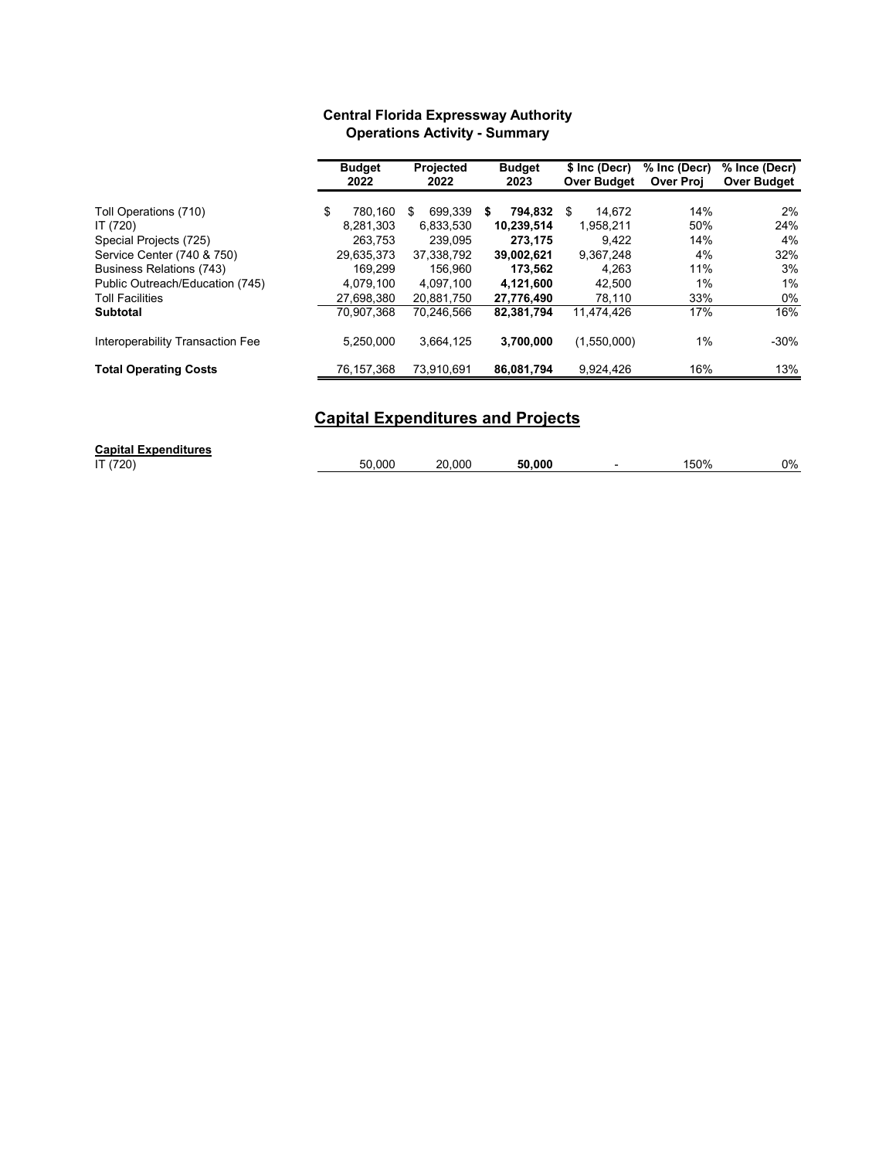# **Central Florida Expressway Authority Operations Activity - Summary**

|                                  | <b>Budget</b><br>2022 | <b>Projected</b><br>2022 | <b>Budget</b><br>2023 | \$ Inc (Decr)<br><b>Over Budget</b> | % Inc (Decr)<br><b>Over Proj</b> | % Ince (Decr)<br><b>Over Budget</b> |
|----------------------------------|-----------------------|--------------------------|-----------------------|-------------------------------------|----------------------------------|-------------------------------------|
|                                  |                       |                          |                       |                                     |                                  |                                     |
| Toll Operations (710)            | \$<br>780.160         | 699.339<br>S             | 794.832<br>S          | 14.672<br>\$                        | 14%                              | 2%                                  |
| IT (720)                         | 8.281.303             | 6,833,530                | 10.239.514            | 1.958.211                           | 50%                              | 24%                                 |
| Special Projects (725)           | 263.753               | 239.095                  | 273.175               | 9.422                               | 14%                              | 4%                                  |
| Service Center (740 & 750)       | 29,635,373            | 37,338,792               | 39,002,621            | 9,367,248                           | 4%                               | 32%                                 |
| Business Relations (743)         | 169.299               | 156.960                  | 173.562               | 4.263                               | 11%                              | 3%                                  |
| Public Outreach/Education (745)  | 4.079.100             | 4.097.100                | 4.121.600             | 42.500                              | 1%                               | 1%                                  |
| <b>Toll Facilities</b>           | 27,698,380            | 20.881.750               | 27.776.490            | 78.110                              | 33%                              | $0\%$                               |
| <b>Subtotal</b>                  | 70.907.368            | 70.246.566               | 82,381,794            | 11.474.426                          | 17%                              | 16%                                 |
| Interoperability Transaction Fee | 5,250,000             | 3,664,125                | 3,700,000             | (1,550,000)                         | 1%                               | $-30%$                              |
| <b>Total Operating Costs</b>     | 76,157,368            | 73,910,691               | 86,081,794            | 9,924,426                           | 16%                              | 13%                                 |

# **Capital Expenditures and Projects**

| <b>Capital Expenditures</b> |        |        |        |      |    |
|-----------------------------|--------|--------|--------|------|----|
| IT (720)                    | 50.000 | 20.000 | 50.000 | '50% | 0% |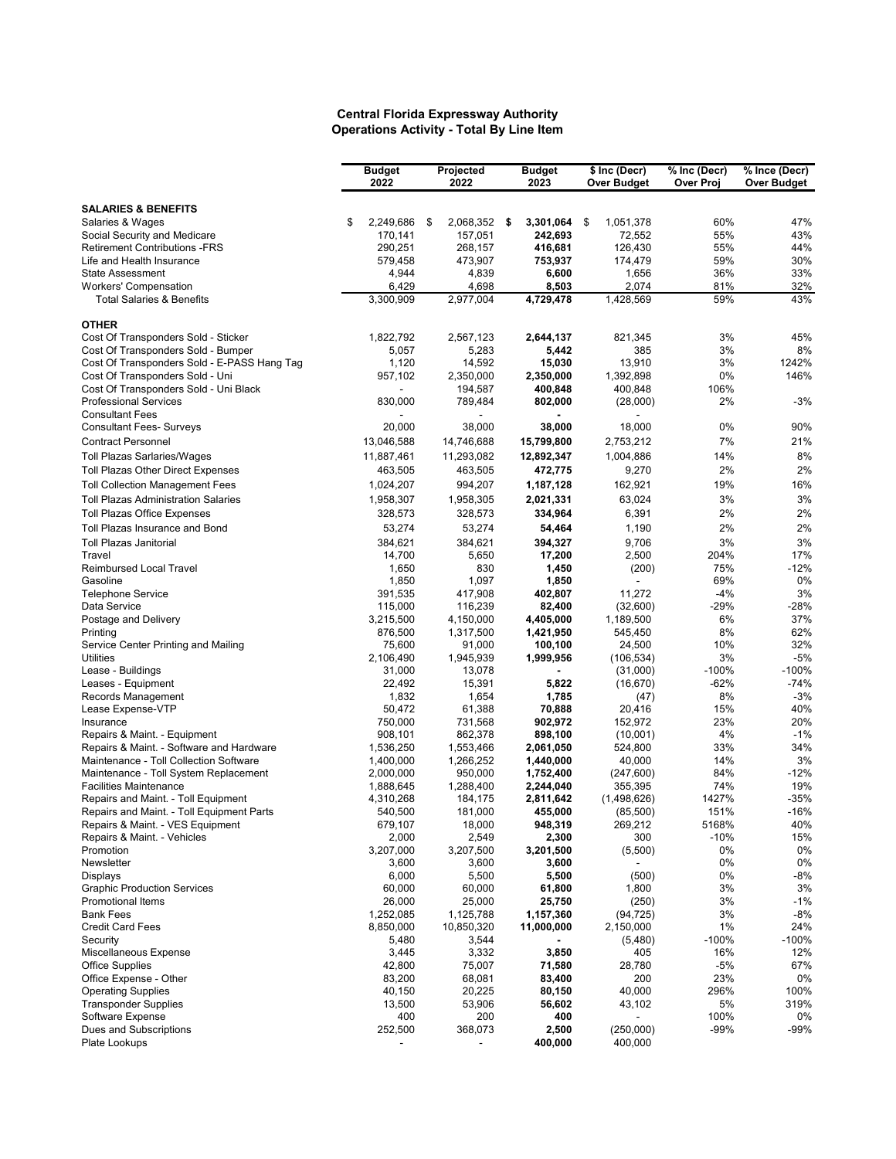#### **Central Florida Expressway Authority Operations Activity - Total By Line Item**

|                                                                                      | <b>Budget</b><br>2022 | Projected<br>2022  |      | <b>Budget</b><br>2023 | \$ Inc (Decr)<br><b>Over Budget</b> | % Inc (Decr)<br>Over Proj | % Ince (Decr)<br><b>Over Budget</b> |
|--------------------------------------------------------------------------------------|-----------------------|--------------------|------|-----------------------|-------------------------------------|---------------------------|-------------------------------------|
| <b>SALARIES &amp; BENEFITS</b>                                                       |                       |                    |      |                       |                                     |                           |                                     |
| Salaries & Wages                                                                     | \$<br>2,249,686       | \$<br>2,068,352    | - \$ | 3,301,064             | \$<br>1,051,378                     | 60%                       | 47%                                 |
| Social Security and Medicare                                                         | 170,141               | 157,051            |      | 242,693               | 72,552                              | 55%                       | 43%                                 |
| <b>Retirement Contributions -FRS</b>                                                 | 290,251               | 268,157            |      | 416,681               | 126,430                             | 55%                       | 44%                                 |
| Life and Health Insurance                                                            | 579,458               | 473,907            |      | 753,937               | 174,479                             | 59%                       | 30%                                 |
| <b>State Assessment</b>                                                              | 4,944                 | 4,839              |      | 6,600                 | 1,656                               | 36%                       | 33%                                 |
| <b>Workers' Compensation</b><br><b>Total Salaries &amp; Benefits</b>                 | 6,429<br>3,300,909    | 4,698<br>2,977,004 |      | 8,503<br>4,729,478    | 2,074<br>1,428,569                  | 81%<br>59%                | 32%<br>43%                          |
| <b>OTHER</b>                                                                         |                       |                    |      |                       |                                     |                           |                                     |
| Cost Of Transponders Sold - Sticker                                                  | 1,822,792             | 2,567,123          |      | 2,644,137             | 821,345                             | 3%                        | 45%                                 |
| Cost Of Transponders Sold - Bumper                                                   | 5,057                 | 5,283              |      | 5,442                 | 385                                 | 3%                        | 8%                                  |
| Cost Of Transponders Sold - E-PASS Hang Tag                                          | 1,120                 | 14,592             |      | 15,030                | 13.910                              | 3%                        | 1242%                               |
| Cost Of Transponders Sold - Uni                                                      | 957,102               | 2,350,000          |      | 2,350,000             | 1,392,898                           | 0%                        | 146%                                |
| Cost Of Transponders Sold - Uni Black                                                |                       | 194,587            |      | 400,848               | 400,848                             | 106%                      |                                     |
| <b>Professional Services</b>                                                         | 830,000               | 789,484            |      | 802,000               | (28,000)                            | 2%                        | -3%                                 |
| <b>Consultant Fees</b><br><b>Consultant Fees- Surveys</b>                            | 20,000                | 38,000             |      | 38,000                | 18,000                              | 0%                        | 90%                                 |
| <b>Contract Personnel</b>                                                            | 13,046,588            | 14,746,688         |      | 15,799,800            | 2,753,212                           | 7%                        | 21%                                 |
| <b>Toll Plazas Sarlaries/Wages</b>                                                   | 11,887,461            | 11,293,082         |      | 12,892,347            | 1,004,886                           | 14%                       | 8%                                  |
| Toll Plazas Other Direct Expenses                                                    | 463,505               | 463,505            |      | 472,775               | 9,270                               | 2%                        | 2%                                  |
|                                                                                      |                       | 994,207            |      |                       | 162,921                             | 19%                       | 16%                                 |
| <b>Toll Collection Management Fees</b><br><b>Toll Plazas Administration Salaries</b> | 1,024,207             |                    |      | 1,187,128             | 63,024                              | 3%                        | 3%                                  |
|                                                                                      | 1,958,307             | 1,958,305          |      | 2,021,331             |                                     | 2%                        | 2%                                  |
| <b>Toll Plazas Office Expenses</b>                                                   | 328,573               | 328,573            |      | 334,964               | 6,391                               |                           |                                     |
| Toll Plazas Insurance and Bond                                                       | 53,274                | 53,274             |      | 54,464                | 1,190                               | 2%                        | 2%                                  |
| <b>Toll Plazas Janitorial</b><br>Travel                                              | 384,621<br>14,700     | 384,621<br>5,650   |      | 394,327<br>17,200     | 9,706<br>2,500                      | 3%<br>204%                | 3%<br>17%                           |
| <b>Reimbursed Local Travel</b>                                                       | 1,650                 | 830                |      | 1,450                 | (200)                               | 75%                       | $-12%$                              |
| Gasoline                                                                             | 1,850                 | 1,097              |      | 1,850                 |                                     | 69%                       | 0%                                  |
| <b>Telephone Service</b>                                                             | 391,535               | 417,908            |      | 402,807               | 11,272                              | $-4%$                     | 3%                                  |
| Data Service                                                                         | 115,000               | 116,239            |      | 82,400                | (32,600)                            | $-29%$                    | $-28%$                              |
| Postage and Delivery                                                                 | 3,215,500             | 4,150,000          |      | 4,405,000             | 1,189,500                           | 6%                        | 37%                                 |
| Printing                                                                             | 876,500               | 1,317,500          |      | 1,421,950             | 545,450                             | 8%                        | 62%                                 |
| Service Center Printing and Mailing                                                  | 75,600                | 91,000             |      | 100,100               | 24,500                              | 10%                       | 32%                                 |
| Utilities                                                                            | 2,106,490             | 1,945,939          |      | 1,999,956             | (106, 534)                          | 3%                        | $-5%$                               |
| Lease - Buildings<br>Leases - Equipment                                              | 31,000<br>22,492      | 13,078<br>15,391   |      | 5,822                 | (31,000)<br>(16, 670)               | $-100%$<br>$-62%$         | $-100%$<br>$-74%$                   |
| Records Management                                                                   | 1,832                 | 1,654              |      | 1,785                 | (47)                                | 8%                        | $-3%$                               |
| Lease Expense-VTP                                                                    | 50,472                | 61,388             |      | 70,888                | 20,416                              | 15%                       | 40%                                 |
| Insurance                                                                            | 750,000               | 731,568            |      | 902,972               | 152,972                             | 23%                       | 20%                                 |
| Repairs & Maint. - Equipment                                                         | 908,101               | 862,378            |      | 898,100               | (10,001)                            | 4%                        | $-1%$                               |
| Repairs & Maint. - Software and Hardware                                             | 1,536,250             | 1,553,466          |      | 2,061,050             | 524,800                             | 33%                       | 34%                                 |
| Maintenance - Toll Collection Software                                               | 1,400,000             | 1,266,252          |      | 1,440,000             | 40,000                              | 14%                       | 3%                                  |
| Maintenance - Toll System Replacement                                                | 2,000,000             | 950,000            |      | 1,752,400             | (247, 600)                          | 84%                       | $-12%$                              |
| <b>Facilities Maintenance</b>                                                        | 1,888,645             | 1,288,400          |      | 2,244,040             | 355,395                             | 74%                       | 19%                                 |
| Repairs and Maint. - Toll Equipment<br>Repairs and Maint. - Toll Equipment Parts     | 4,310,268<br>540,500  | 184,175<br>181,000 |      | 2,811,642<br>455,000  | (1,498,626)                         | 1427%<br>151%             | $-35%$<br>$-16%$                    |
| Repairs & Maint. - VES Equipment                                                     | 679,107               | 18,000             |      | 948,319               | (85,500)<br>269,212                 | 5168%                     | 40%                                 |
| Repairs & Maint. - Vehicles                                                          | 2,000                 | 2,549              |      | 2,300                 | 300                                 | $-10%$                    | 15%                                 |
| Promotion                                                                            | 3,207,000             | 3,207,500          |      | 3,201,500             | (5,500)                             | 0%                        | 0%                                  |
| Newsletter                                                                           | 3,600                 | 3,600              |      | 3,600                 |                                     | 0%                        | 0%                                  |
| Displays                                                                             | 6,000                 | 5,500              |      | 5,500                 | (500)                               | 0%                        | -8%                                 |
| <b>Graphic Production Services</b>                                                   | 60,000                | 60,000             |      | 61,800                | 1,800                               | 3%                        | 3%                                  |
| Promotional Items                                                                    | 26,000                | 25,000             |      | 25,750                | (250)                               | 3%                        | $-1%$                               |
| <b>Bank Fees</b>                                                                     | 1,252,085             | 1,125,788          |      | 1,157,360             | (94, 725)                           | 3%                        | $-8%$                               |
| <b>Credit Card Fees</b>                                                              | 8,850,000             | 10,850,320         |      | 11,000,000            | 2,150,000                           | 1%                        | 24%<br>$-100%$                      |
| Security<br>Miscellaneous Expense                                                    | 5,480<br>3,445        | 3,544<br>3,332     |      | 3,850                 | (5,480)<br>405                      | $-100%$<br>16%            | 12%                                 |
| <b>Office Supplies</b>                                                               | 42,800                | 75,007             |      | 71,580                | 28,780                              | $-5%$                     | 67%                                 |
| Office Expense - Other                                                               | 83,200                | 68,081             |      | 83,400                | 200                                 | 23%                       | 0%                                  |
| <b>Operating Supplies</b>                                                            | 40,150                | 20,225             |      | 80,150                | 40,000                              | 296%                      | 100%                                |
| <b>Transponder Supplies</b>                                                          | 13,500                | 53,906             |      | 56,602                | 43,102                              | 5%                        | 319%                                |
| Software Expense                                                                     | 400                   | 200                |      | 400                   |                                     | 100%                      | 0%                                  |
| Dues and Subscriptions                                                               | 252,500               | 368,073            |      | 2,500                 | (250,000)                           | $-99%$                    | -99%                                |
| Plate Lookups                                                                        |                       |                    |      | 400,000               | 400,000                             |                           |                                     |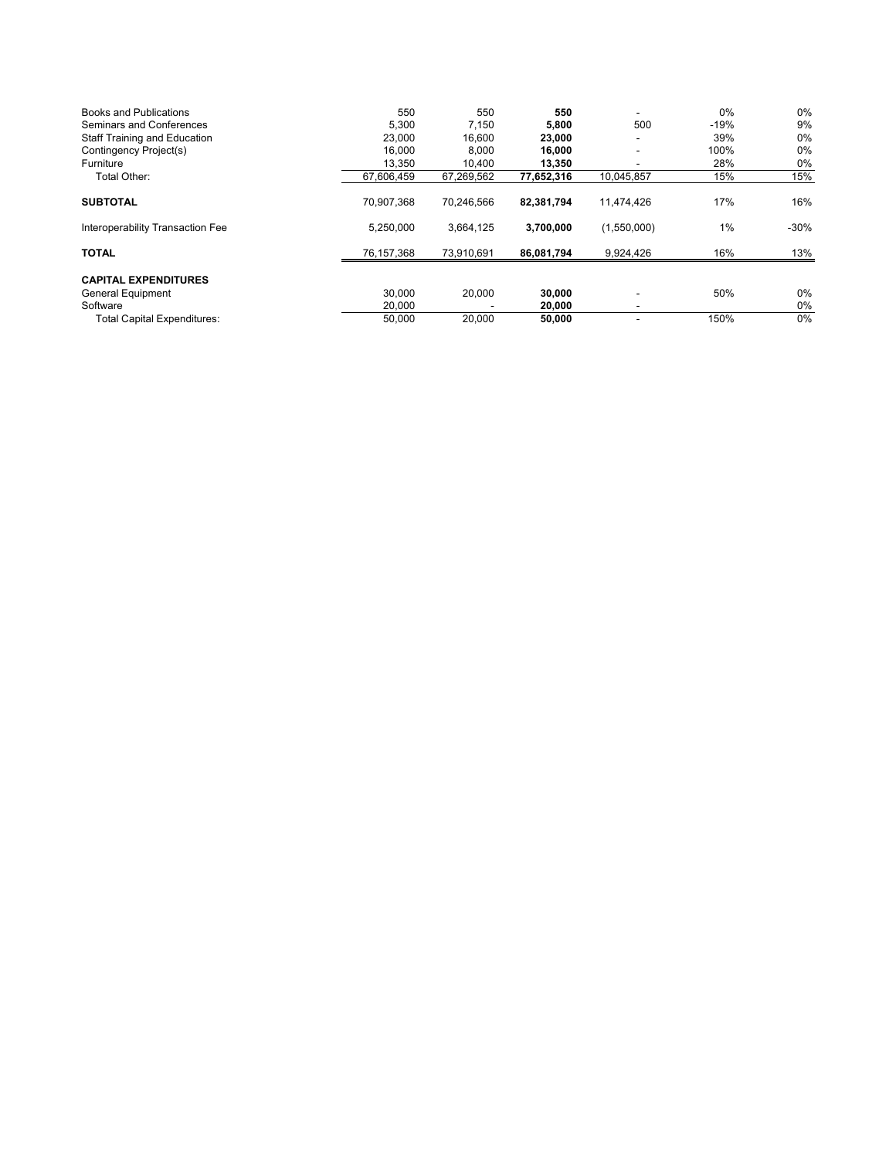| Books and Publications              | 550        | 550        | 550        |             | $0\%$  | $0\%$  |
|-------------------------------------|------------|------------|------------|-------------|--------|--------|
| Seminars and Conferences            | 5,300      | 7,150      | 5,800      | 500         | $-19%$ | 9%     |
| <b>Staff Training and Education</b> | 23,000     | 16,600     | 23,000     |             | 39%    | 0%     |
| Contingency Project(s)              | 16.000     | 8,000      | 16,000     |             | 100%   | 0%     |
| Furniture                           | 13,350     | 10,400     | 13,350     |             | 28%    | 0%     |
| Total Other:                        | 67,606,459 | 67,269,562 | 77,652,316 | 10,045,857  | 15%    | 15%    |
| <b>SUBTOTAL</b>                     | 70.907.368 | 70.246.566 | 82,381,794 | 11.474.426  | 17%    | 16%    |
| Interoperability Transaction Fee    | 5.250.000  | 3,664,125  | 3,700,000  | (1,550,000) | $1\%$  | $-30%$ |
| <b>TOTAL</b>                        | 76,157,368 | 73,910,691 | 86,081,794 | 9,924,426   | 16%    | 13%    |
| <b>CAPITAL EXPENDITURES</b>         |            |            |            |             |        |        |
| General Equipment                   | 30.000     | 20,000     | 30,000     |             | 50%    | $0\%$  |
| Software                            | 20,000     |            | 20,000     |             |        | 0%     |
| <b>Total Capital Expenditures:</b>  | 50,000     | 20,000     | 50,000     |             | 150%   | $0\%$  |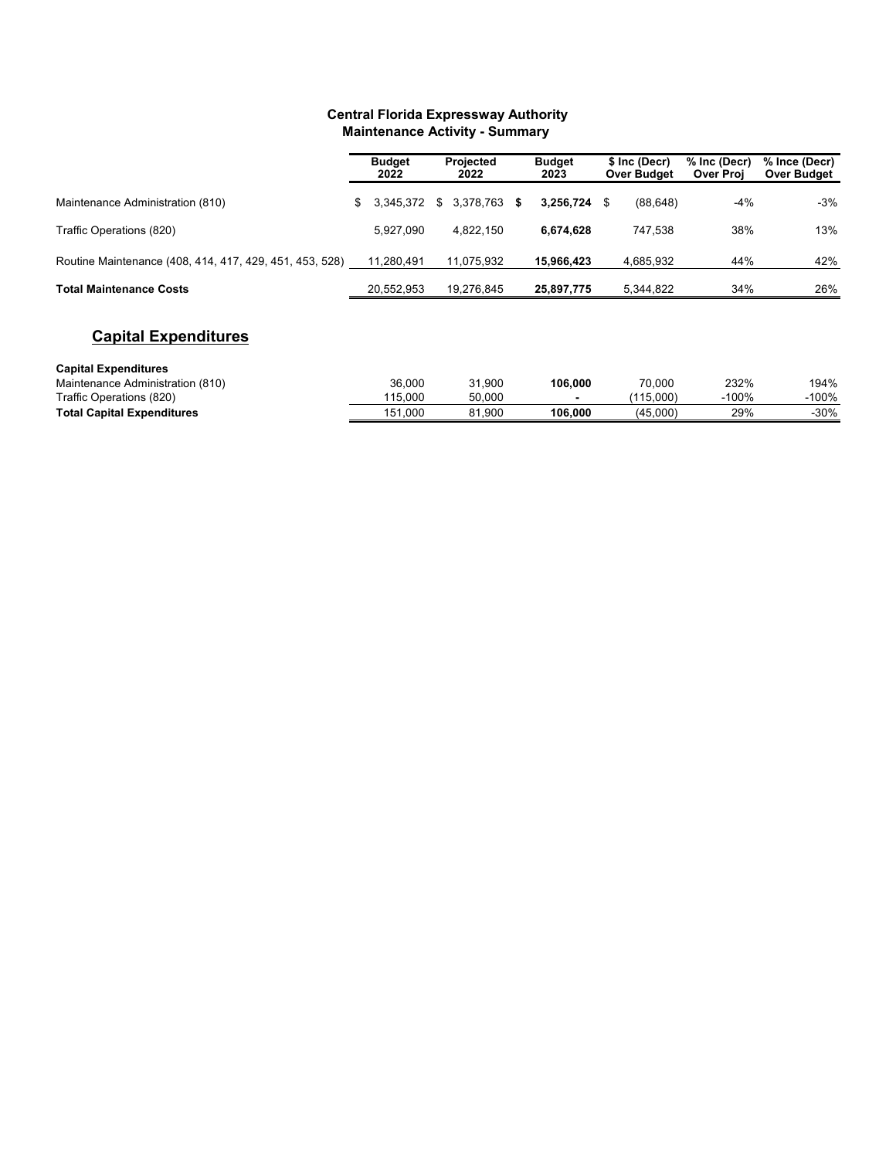## **Central Florida Expressway Authority Maintenance Activity - Summary**

|                                                         | <b>Budget</b><br>2022 | <b>Projected</b><br>2022 |   | <b>Budget</b><br>2023 |   | \$ Inc (Decr)<br><b>Over Budget</b> | % Inc (Decr)<br><b>Over Proj</b> | % Ince (Decr)<br><b>Over Budget</b> |
|---------------------------------------------------------|-----------------------|--------------------------|---|-----------------------|---|-------------------------------------|----------------------------------|-------------------------------------|
| Maintenance Administration (810)                        | \$<br>3,345,372       | \$<br>3,378,763          | S | 3,256,724             | S | (88, 648)                           | $-4%$                            | -3%                                 |
| Traffic Operations (820)                                | 5,927,090             | 4.822.150                |   | 6.674.628             |   | 747.538                             | 38%                              | 13%                                 |
| Routine Maintenance (408, 414, 417, 429, 451, 453, 528) | 11,280,491            | 11,075,932               |   | 15,966,423            |   | 4,685,932                           | 44%                              | 42%                                 |
| <b>Total Maintenance Costs</b>                          | 20,552,953            | 19,276,845               |   | 25,897,775            |   | 5,344,822                           | 34%                              | 26%                                 |
| <b>Capital Expenditures</b>                             |                       |                          |   |                       |   |                                     |                                  |                                     |
| <b>Capital Expenditures</b>                             |                       |                          |   |                       |   |                                     |                                  |                                     |
| Maintenance Administration (810)                        | 26.000                | 21.000                   |   | <b>106.000</b>        |   | <b>70.000</b>                       | 2220L                            | 1010L                               |

| Maintenance Administration (810)  | 36,000     | 1.900<br>$\sim$ | 106.000 | 70.000   | 232% | 194%   |
|-----------------------------------|------------|-----------------|---------|----------|------|--------|
| Traffic Operations (820)          | 15.000     | 50.000          |         | 15.000   | 100% | -100%  |
| <b>Total Capital Expenditures</b> | .000<br>ວີ | .900<br>ດ 4     | 106.000 | (45.000) | 29%  | $-30%$ |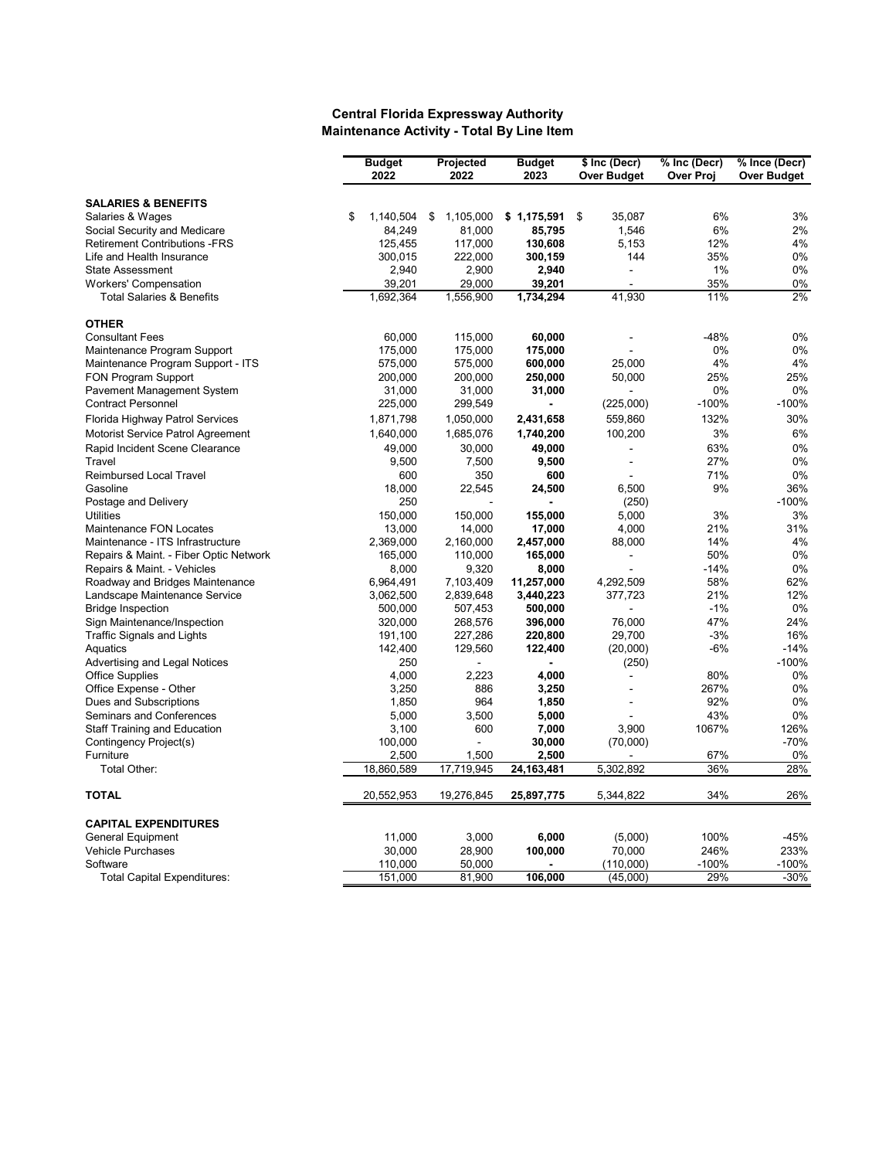#### **Central Florida Expressway Authority Maintenance Activity - Total By Line Item**

|                                        | <b>Budget</b>       | Projected             | <b>Budget</b> | \$ Inc (Decr)                              | % Inc (Decr)     | % Ince (Decr) |
|----------------------------------------|---------------------|-----------------------|---------------|--------------------------------------------|------------------|---------------|
|                                        | 2022                | 2022                  | 2023          | <b>Over Budget</b>                         | <b>Over Proj</b> | Over Budget   |
|                                        |                     |                       |               |                                            |                  |               |
| <b>SALARIES &amp; BENEFITS</b>         |                     |                       |               |                                            |                  |               |
| Salaries & Wages                       | \$<br>1,140,504     | 1,105,000<br>\$       | \$1,175,591   | \$<br>35,087                               | 6%               | 3%            |
| Social Security and Medicare           | 84,249              | 81,000                | 85,795        | 1,546                                      | 6%               | 2%            |
| <b>Retirement Contributions -FRS</b>   | 125,455             | 117,000               | 130,608       | 5,153                                      | 12%              | 4%            |
| Life and Health Insurance              | 300,015             | 222,000               | 300,159       | 144                                        | 35%              | 0%            |
| <b>State Assessment</b>                | 2,940               | 2,900                 | 2,940         | ÷,                                         | 1%               | 0%            |
| <b>Workers' Compensation</b>           | 39,201              | 29,000                | 39,201        |                                            | 35%              | 0%            |
| <b>Total Salaries &amp; Benefits</b>   | 1,692,364           | 1,556,900             | 1,734,294     | 41,930                                     | 11%              | 2%            |
| <b>OTHER</b>                           |                     |                       |               |                                            |                  |               |
| <b>Consultant Fees</b>                 | 60,000              | 115,000               | 60,000        |                                            | $-48%$           | 0%            |
| Maintenance Program Support            | 175,000             | 175,000               | 175,000       |                                            | 0%               | 0%            |
| Maintenance Program Support - ITS      | 575,000             | 575,000               | 600,000       | 25,000                                     | 4%               | 4%            |
| FON Program Support                    | 200,000             | 200,000               | 250,000       | 50,000                                     | 25%              | 25%           |
| Pavement Management System             | 31,000              | 31,000                | 31,000        |                                            | 0%               | 0%            |
| <b>Contract Personnel</b>              | 225,000             | 299,549               |               | (225,000)                                  | $-100%$          | $-100%$       |
| Florida Highway Patrol Services        | 1,871,798           | 1,050,000             | 2,431,658     | 559,860                                    | 132%             | 30%           |
| Motorist Service Patrol Agreement      | 1,640,000           | 1,685,076             | 1,740,200     | 100,200                                    | 3%               | 6%            |
| Rapid Incident Scene Clearance         | 49,000              | 30,000                | 49,000        |                                            | 63%              | 0%            |
| Travel                                 | 9,500               | 7,500                 |               | $\overline{a}$<br>$\overline{\phantom{a}}$ | 27%              | 0%            |
| <b>Reimbursed Local Travel</b>         | 600                 | 350                   | 9,500<br>600  |                                            | 71%              | 0%            |
| Gasoline                               | 18,000              | 22,545                |               | 6,500                                      | 9%               | 36%           |
| Postage and Delivery                   | 250                 |                       | 24,500        | (250)                                      |                  | $-100%$       |
| <b>Utilities</b>                       | 150,000             | 150,000               | 155,000       | 5,000                                      | 3%               | 3%            |
| <b>Maintenance FON Locates</b>         |                     |                       |               | 4.000                                      | 21%              | 31%           |
| Maintenance - ITS Infrastructure       | 13,000<br>2,369,000 | 14,000                | 17,000        | 88,000                                     | 14%              | 4%            |
|                                        |                     | 2,160,000             | 2,457,000     |                                            | 50%              | 0%            |
| Repairs & Maint. - Fiber Optic Network | 165,000             | 110,000               | 165,000       | $\overline{a}$                             |                  |               |
| Repairs & Maint. - Vehicles            | 8,000               | 9,320                 | 8,000         |                                            | $-14%$<br>58%    | 0%<br>62%     |
| Roadway and Bridges Maintenance        | 6,964,491           | 7,103,409             | 11,257,000    | 4,292,509                                  |                  |               |
| Landscape Maintenance Service          | 3,062,500           | 2,839,648             | 3,440,223     | 377,723                                    | 21%<br>$-1%$     | 12%           |
| <b>Bridge Inspection</b>               | 500,000             | 507,453               | 500,000       |                                            | 47%              | 0%<br>24%     |
| Sign Maintenance/Inspection            | 320,000             | 268,576               | 396,000       | 76.000                                     |                  |               |
| <b>Traffic Signals and Lights</b>      | 191,100             | 227,286               | 220,800       | 29,700                                     | $-3%$            | 16%           |
| Aquatics                               | 142,400             | 129,560               | 122,400       | (20,000)                                   | $-6%$            | $-14%$        |
| Advertising and Legal Notices          | 250                 |                       |               | (250)                                      |                  | $-100%$       |
| <b>Office Supplies</b>                 | 4,000               | 2,223                 | 4,000         |                                            | 80%              | 0%            |
| Office Expense - Other                 | 3,250               | 886                   | 3,250         |                                            | 267%             | 0%            |
| Dues and Subscriptions                 | 1,850               | 964                   | 1,850         |                                            | 92%              | 0%            |
| Seminars and Conferences               | 5,000               | 3,500                 | 5,000         |                                            | 43%              | 0%            |
| <b>Staff Training and Education</b>    | 3,100               | 600<br>$\overline{a}$ | 7,000         | 3,900                                      | 1067%            | 126%          |
| Contingency Project(s)                 | 100,000             |                       | 30,000        | (70,000)                                   |                  | $-70%$        |
| Furniture                              | 2,500               | 1,500                 | 2,500         |                                            | 67%              | 0%            |
| Total Other:                           | 18,860,589          | 17,719,945            | 24, 163, 481  | 5,302,892                                  | 36%              | 28%           |
| <b>TOTAL</b>                           | 20,552,953          | 19,276,845            | 25,897,775    | 5,344,822                                  | 34%              | 26%           |
| <b>CAPITAL EXPENDITURES</b>            |                     |                       |               |                                            |                  |               |
| <b>General Equipment</b>               | 11,000              | 3,000                 | 6,000         | (5,000)                                    | 100%             | $-45%$        |
| <b>Vehicle Purchases</b>               | 30,000              | 28,900                | 100,000       | 70,000                                     | 246%             | 233%          |
| Software                               | 110,000             | 50,000                |               | (110,000)                                  | $-100%$          | $-100%$       |
| <b>Total Capital Expenditures:</b>     | 151,000             | 81,900                | 106,000       | (45,000)                                   | 29%              | $-30%$        |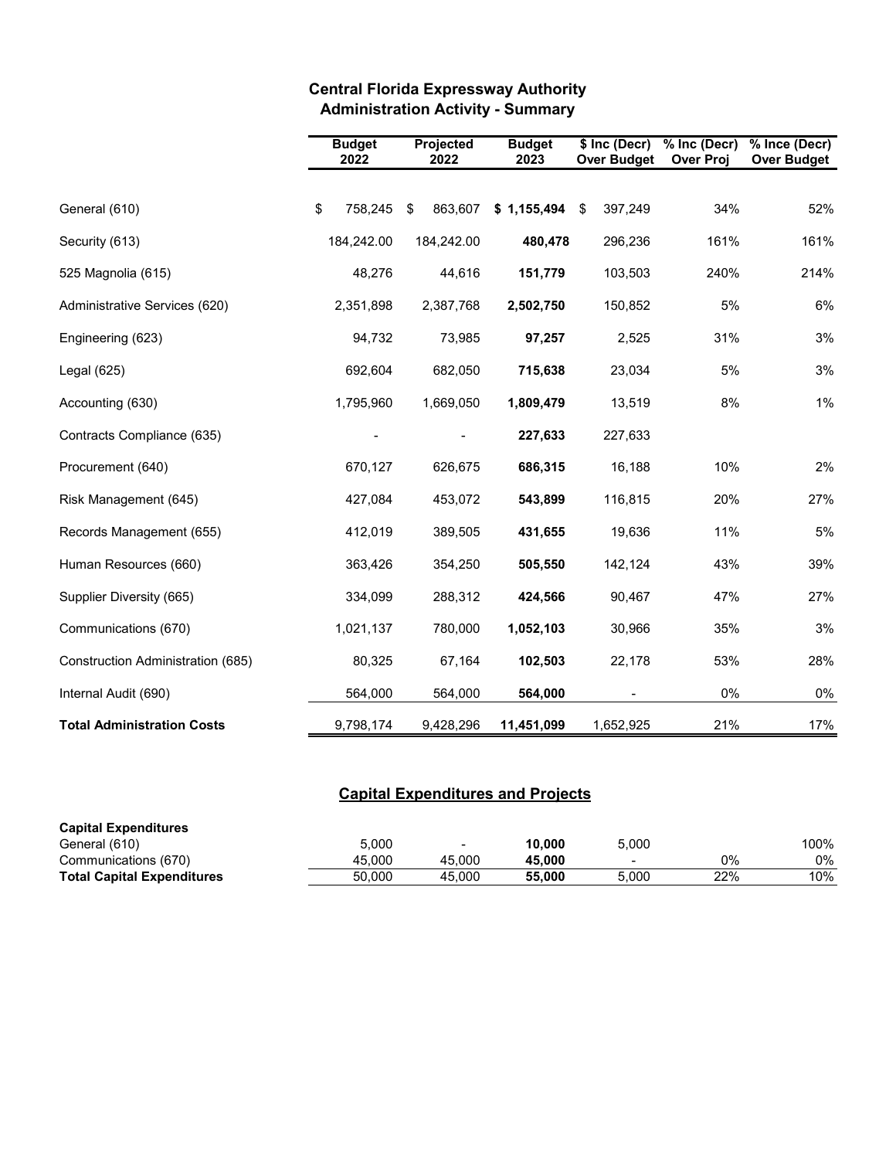|                                   | <b>Budget</b><br>2022 | Projected<br>2022 | <b>Budget</b><br>2023 |           | \$ Inc (Decr)<br><b>Over Budget</b> | % Inc (Decr)<br><b>Over Proj</b> | % Ince (Decr)<br><b>Over Budget</b> |
|-----------------------------------|-----------------------|-------------------|-----------------------|-----------|-------------------------------------|----------------------------------|-------------------------------------|
| General (610)                     | \$<br>758,245         | \$<br>863,607     | \$1,155,494           |           | \$<br>397,249                       | 34%                              | 52%                                 |
| Security (613)                    | 184,242.00            | 184,242.00        |                       | 480,478   | 296,236                             | 161%                             | 161%                                |
| 525 Magnolia (615)                | 48,276                | 44,616            |                       | 151,779   | 103,503                             | 240%                             | 214%                                |
| Administrative Services (620)     | 2,351,898             | 2,387,768         |                       | 2,502,750 | 150,852                             | 5%                               | 6%                                  |
| Engineering (623)                 | 94,732                | 73,985            |                       | 97,257    | 2,525                               | 31%                              | 3%                                  |
| Legal $(625)$                     | 692,604               | 682,050           |                       | 715,638   | 23,034                              | 5%                               | 3%                                  |
| Accounting (630)                  | 1,795,960             | 1,669,050         |                       | 1,809,479 | 13,519                              | 8%                               | 1%                                  |
| Contracts Compliance (635)        |                       |                   |                       | 227,633   | 227,633                             |                                  |                                     |
| Procurement (640)                 | 670,127               | 626,675           |                       | 686,315   | 16,188                              | 10%                              | 2%                                  |
| Risk Management (645)             | 427,084               | 453,072           |                       | 543,899   | 116,815                             | 20%                              | 27%                                 |
| Records Management (655)          | 412,019               | 389,505           |                       | 431,655   | 19,636                              | 11%                              | 5%                                  |
| Human Resources (660)             | 363,426               | 354,250           |                       | 505,550   | 142,124                             | 43%                              | 39%                                 |
| Supplier Diversity (665)          | 334,099               | 288,312           |                       | 424,566   | 90,467                              | 47%                              | 27%                                 |
| Communications (670)              | 1,021,137             | 780,000           |                       | 1,052,103 | 30,966                              | 35%                              | 3%                                  |
| Construction Administration (685) | 80,325                | 67,164            |                       | 102,503   | 22,178                              | 53%                              | 28%                                 |
| Internal Audit (690)              | 564,000               | 564,000           |                       | 564,000   |                                     | 0%                               | $0\%$                               |
| <b>Total Administration Costs</b> | 9,798,174             | 9,428,296         | 11,451,099            |           | 1,652,925                           | 21%                              | 17%                                 |

# **Central Florida Expressway Authority Administration Activity - Summary**

# **Capital Expenditures and Projects**

| <b>Capital Expenditures</b>       |        |        |        |                          |     |      |
|-----------------------------------|--------|--------|--------|--------------------------|-----|------|
| General (610)                     | 5.000  | -      | 10.000 | 5.000                    |     | 100% |
| Communications (670)              | 45.000 | 45.000 | 45.000 | $\overline{\phantom{0}}$ | 0%  | 0%   |
| <b>Total Capital Expenditures</b> | 50.000 | 45.000 | 55.000 | 5.000                    | 22% | 10%  |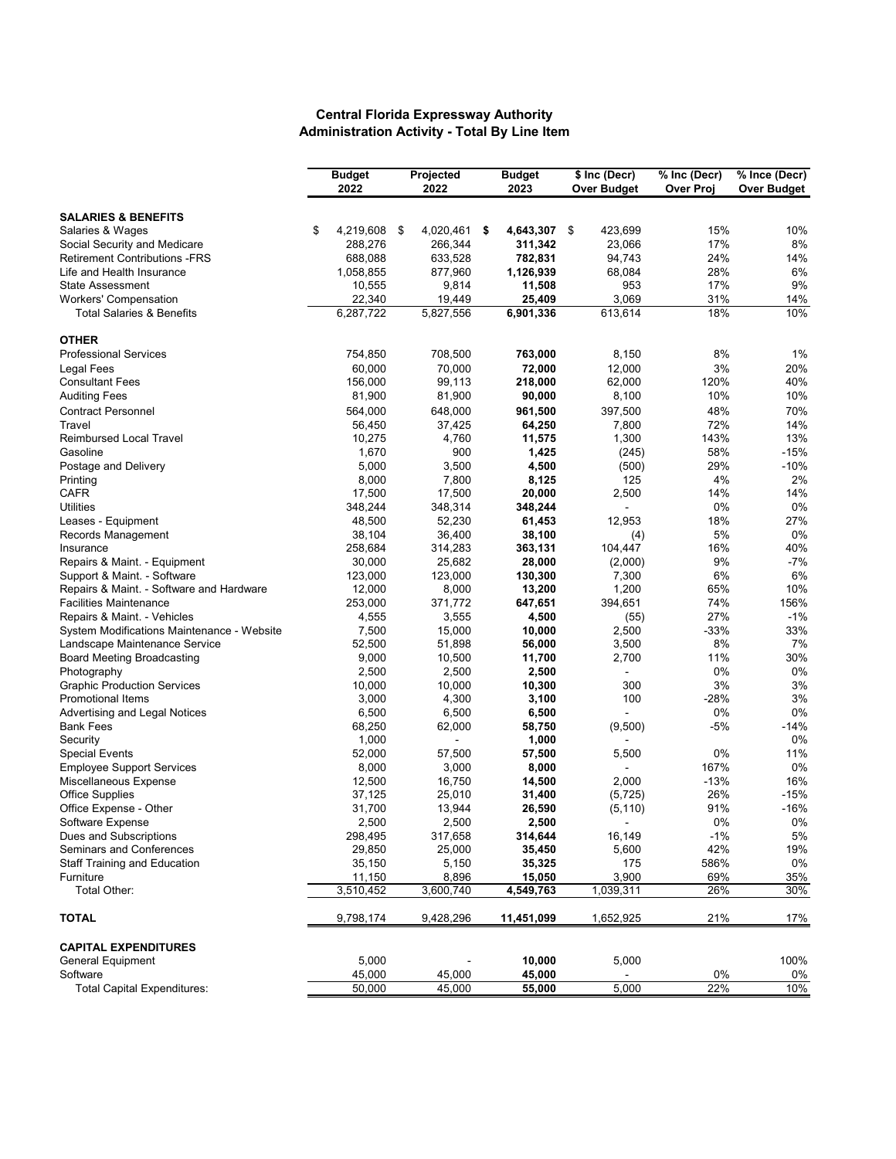#### **Central Florida Expressway Authority Administration Activity - Total By Line Item**

|                                            | <b>Budget</b> |           | Projected |           | <b>Budget</b>   | \$ Inc (Decr)  | % Inc (Decr) | % Ince (Decr)      |
|--------------------------------------------|---------------|-----------|-----------|-----------|-----------------|----------------|--------------|--------------------|
|                                            |               | 2022      |           | 2022      | 2023            | Over Budget    | Over Proj    | <b>Over Budget</b> |
| <b>SALARIES &amp; BENEFITS</b>             |               |           |           |           |                 |                |              |                    |
| Salaries & Wages                           | \$            | 4,219,608 | \$        | 4,020,461 | \$<br>4,643,307 | \$<br>423,699  | 15%          | 10%                |
| Social Security and Medicare               |               | 288,276   |           | 266,344   | 311,342         | 23,066         | 17%          | 8%                 |
| <b>Retirement Contributions -FRS</b>       |               | 688,088   |           | 633,528   | 782,831         | 94,743         | 24%          | 14%                |
| Life and Health Insurance                  |               | 1,058,855 |           | 877,960   | 1,126,939       | 68,084         | 28%          | 6%                 |
| <b>State Assessment</b>                    |               | 10,555    |           | 9,814     | 11,508          | 953            | 17%          | 9%                 |
| <b>Workers' Compensation</b>               |               | 22,340    |           | 19,449    | 25,409          | 3,069          | 31%          | 14%                |
| <b>Total Salaries &amp; Benefits</b>       |               | 6,287,722 |           | 5,827,556 | 6,901,336       | 613,614        | 18%          | 10%                |
| <b>OTHER</b>                               |               |           |           |           |                 |                |              |                    |
| <b>Professional Services</b>               |               | 754,850   |           | 708,500   | 763,000         | 8,150          | 8%           | 1%                 |
| Legal Fees                                 |               | 60,000    |           | 70,000    | 72,000          | 12,000         | 3%           | 20%                |
| <b>Consultant Fees</b>                     |               | 156,000   |           | 99,113    | 218,000         | 62,000         | 120%         | 40%                |
| <b>Auditing Fees</b>                       |               | 81,900    |           | 81,900    | 90,000          | 8,100          | 10%          | 10%                |
| <b>Contract Personnel</b>                  |               | 564,000   |           | 648,000   | 961,500         | 397,500        | 48%          | 70%                |
| Travel                                     |               | 56,450    |           | 37,425    | 64,250          | 7,800          | 72%          | 14%                |
| <b>Reimbursed Local Travel</b>             |               | 10,275    |           | 4,760     | 11,575          | 1,300          | 143%         | 13%                |
| Gasoline                                   |               | 1,670     |           | 900       | 1,425           | (245)          | 58%          | $-15%$             |
| Postage and Delivery                       |               | 5,000     |           | 3,500     | 4,500           | (500)          | 29%          | $-10%$             |
| Printing                                   |               | 8,000     |           | 7,800     | 8,125           | 125            | 4%           | 2%                 |
| <b>CAFR</b>                                |               | 17,500    |           | 17,500    | 20,000          | 2,500          | 14%          | 14%                |
| <b>Utilities</b>                           |               | 348,244   |           | 348,314   | 348,244         | ÷              | 0%           | 0%                 |
| Leases - Equipment                         |               | 48,500    |           | 52,230    | 61,453          | 12,953         | 18%          | 27%                |
| Records Management                         |               | 38,104    |           | 36,400    | 38,100          | (4)            | 5%           | 0%                 |
| Insurance                                  |               | 258,684   |           | 314,283   | 363,131         | 104,447        | 16%          | 40%                |
| Repairs & Maint. - Equipment               |               | 30,000    |           | 25,682    | 28,000          | (2,000)        | 9%           | $-7%$              |
| Support & Maint. - Software                |               | 123,000   |           | 123,000   | 130,300         | 7,300          | 6%           | 6%                 |
| Repairs & Maint. - Software and Hardware   |               | 12,000    |           | 8,000     | 13,200          | 1,200          | 65%          | 10%                |
| <b>Facilities Maintenance</b>              |               | 253,000   |           | 371,772   | 647,651         | 394,651        | 74%          | 156%               |
| Repairs & Maint. - Vehicles                |               | 4,555     |           | 3,555     | 4,500           | (55)           | 27%          | $-1%$              |
| System Modifications Maintenance - Website |               | 7,500     |           | 15,000    | 10,000          | 2,500          | $-33%$       | 33%                |
| Landscape Maintenance Service              |               | 52,500    |           | 51,898    | 56,000          | 3,500          | 8%           | 7%                 |
| <b>Board Meeting Broadcasting</b>          |               | 9,000     |           | 10,500    | 11,700          | 2,700          | 11%          | 30%                |
| Photography                                |               | 2,500     |           | 2,500     | 2,500           | L.             | 0%           | 0%                 |
| <b>Graphic Production Services</b>         |               | 10,000    |           | 10,000    | 10,300          | 300            | 3%           | 3%                 |
| <b>Promotional Items</b>                   |               | 3,000     |           | 4,300     | 3,100           | 100            | $-28%$       | 3%                 |
| Advertising and Legal Notices              |               | 6,500     |           | 6,500     | 6,500           | $\blacksquare$ | 0%           | 0%                 |
| <b>Bank Fees</b>                           |               | 68,250    |           | 62,000    | 58,750          | (9,500)        | -5%          | -14%               |
| Security                                   |               | 1,000     |           |           | 1,000           |                |              | 0%                 |
| <b>Special Events</b>                      |               | 52,000    |           | 57,500    | 57,500          | 5,500          | 0%           | 11%                |
| <b>Employee Support Services</b>           |               | 8,000     |           | 3,000     | 8,000           |                | 167%         | 0%                 |
| Miscellaneous Expense                      |               | 12,500    |           | 16,750    | 14,500          | 2,000          | $-13%$       | 16%                |
| <b>Office Supplies</b>                     |               | 37,125    |           | 25,010    | 31,400          | (5, 725)       | 26%          | -15%               |
| Office Expense - Other                     |               | 31,700    |           | 13,944    | 26,590          | (5, 110)       | 91%          | $-16%$             |
| Software Expense                           |               | 2,500     |           | 2,500     | 2,500           |                | 0%           | $0\%$              |
| Dues and Subscriptions                     |               | 298,495   |           | 317,658   | 314,644         | 16,149         | $-1%$        | 5%                 |
| Seminars and Conferences                   |               | 29,850    |           | 25,000    | 35,450          | 5,600          | 42%          | 19%                |
| <b>Staff Training and Education</b>        |               | 35,150    |           | 5,150     | 35,325          | 175            | 586%         | 0%                 |
| Furniture                                  |               | 11,150    |           | 8,896     | 15,050          | 3,900          | 69%          | 35%                |
| Total Other:                               |               | 3,510,452 |           | 3,600,740 | 4,549,763       | 1,039,311      | 26%          | 30%                |
| <b>TOTAL</b>                               |               | 9,798,174 |           | 9,428,296 | 11,451,099      | 1,652,925      | 21%          | 17%                |
| <b>CAPITAL EXPENDITURES</b>                |               |           |           |           |                 |                |              |                    |
| General Equipment                          |               | 5,000     |           |           | 10,000          | 5,000          |              | 100%               |
| Software                                   |               | 45,000    |           | 45,000    | 45,000          |                | 0%           | 0%                 |
| <b>Total Capital Expenditures:</b>         |               | 50,000    |           | 45,000    | 55,000          | 5,000          | 22%          | 10%                |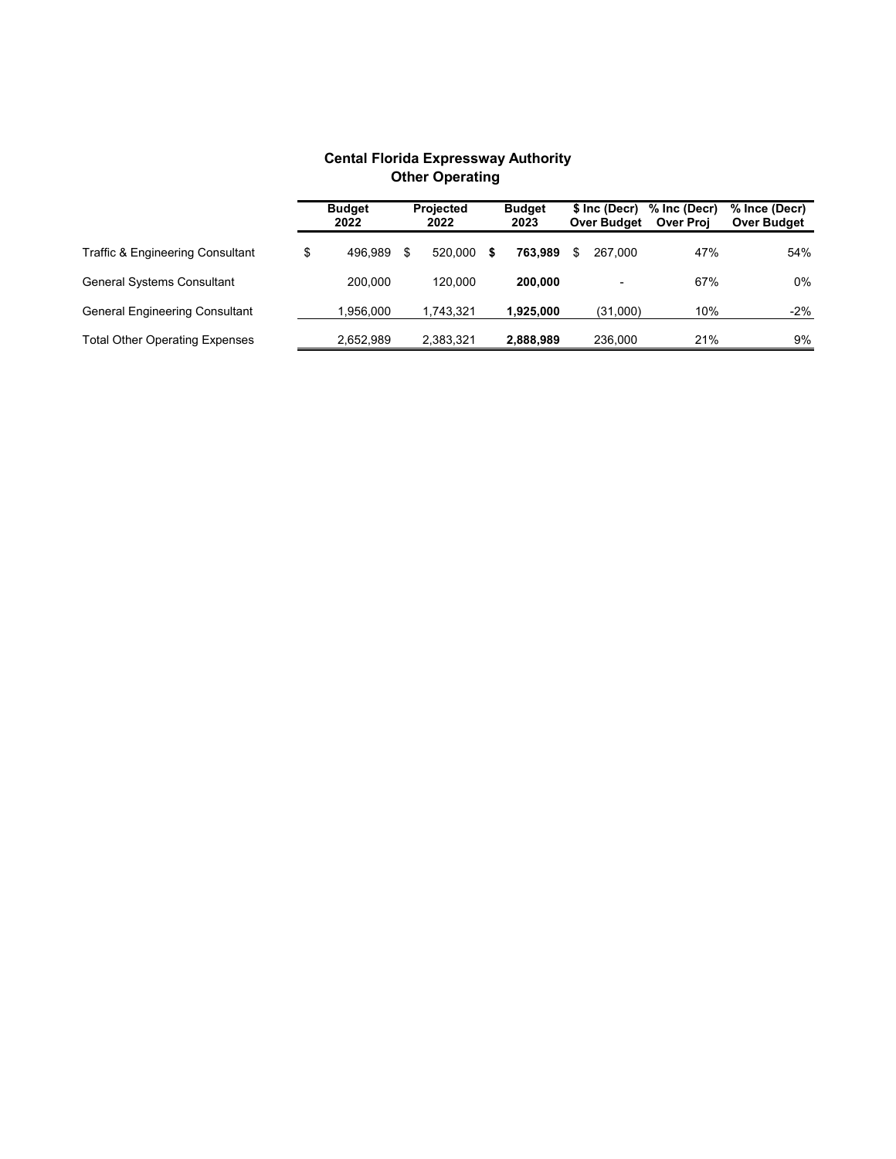|                                       |    | <b>Budget</b><br>2022 |    | <b>Projected</b><br>2022 |   | <b>Budget</b><br>2023 |   | \$ Inc (Decr)<br>Over Budget | % Inc (Decr)<br><b>Over Proj</b> | % Ince (Decr)<br>Over Budget |
|---------------------------------------|----|-----------------------|----|--------------------------|---|-----------------------|---|------------------------------|----------------------------------|------------------------------|
| Traffic & Engineering Consultant      | \$ | 496.989               | \$ | 520.000                  | S | 763.989               | S | 267.000                      | 47%                              | 54%                          |
| <b>General Systems Consultant</b>     |    | 200.000               |    | 120.000                  |   | 200.000               |   |                              | 67%                              | 0%                           |
| <b>General Engineering Consultant</b> |    | 1,956,000             |    | 1,743,321                |   | 1,925,000             |   | (31,000)                     | 10%                              | $-2%$                        |
| <b>Total Other Operating Expenses</b> |    | 2,652,989             |    | 2,383,321                |   | 2,888,989             |   | 236,000                      | 21%                              | 9%                           |

## **Cental Florida Expressway Authority Other Operating**